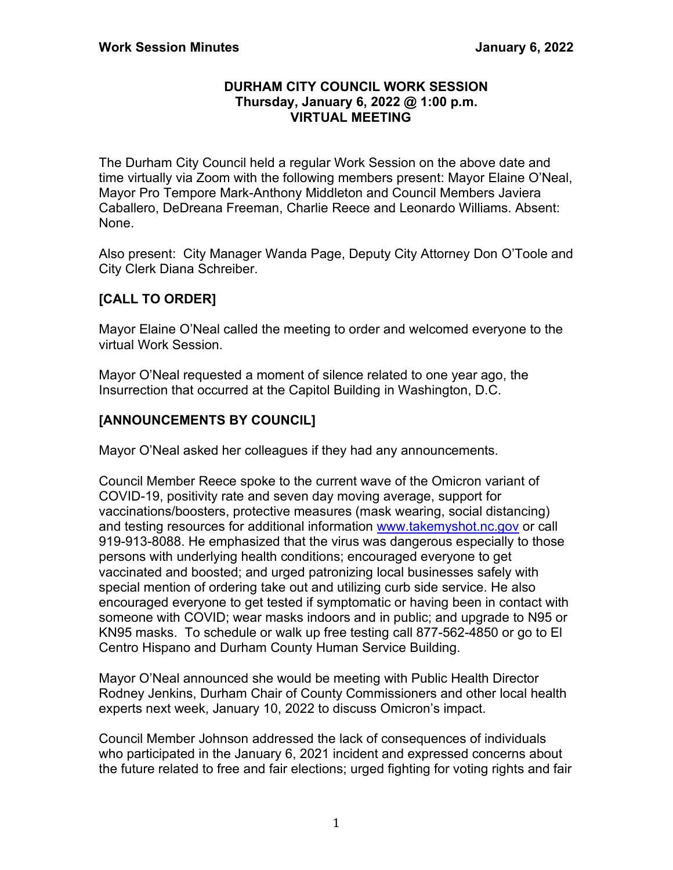#### **DURHAM CITY COUNCIL WORK SESSION Thursday, January 6, 2022 @ 1:00 p.m. VIRTUAL MEETING**

The Durham City Council held a regular Work Session on the above date and time virtually via Zoom with the following members present: Mayor Elaine O'Neal, Mayor Pro Tempore Mark-Anthony Middleton and Council Members Javiera Caballero, DeDreana Freeman, Charlie Reece and Leonardo Williams. Absent: None.

Also present: City Manager Wanda Page, Deputy City Attorney Don O'Toole and City Clerk Diana Schreiber.

# **[CALL TO ORDER]**

Mayor Elaine O'Neal called the meeting to order and welcomed everyone to the virtual Work Session.

Mayor O'Neal requested a moment of silence related to one year ago, the Insurrection that occurred at the Capitol Building in Washington, D.C.

## **[ANNOUNCEMENTS BY COUNCIL]**

Mayor O'Neal asked her colleagues if they had any announcements.

Council Member Reece spoke to the current wave of the Omicron variant of COVID-19, positivity rate and seven day moving average, support for vaccinations/boosters, protective measures (mask wearing, social distancing) and testing resources for additional information [www.takemyshot.nc.gov](http://www.takemyshot.nc.gov/) or call 919-913-8088. He emphasized that the virus was dangerous especially to those persons with underlying health conditions; encouraged everyone to get vaccinated and boosted; and urged patronizing local businesses safely with special mention of ordering take out and utilizing curb side service. He also encouraged everyone to get tested if symptomatic or having been in contact with someone with COVID; wear masks indoors and in public; and upgrade to N95 or KN95 masks. To schedule or walk up free testing call 877-562-4850 or go to El Centro Hispano and Durham County Human Service Building.

Mayor O'Neal announced she would be meeting with Public Health Director Rodney Jenkins, Durham Chair of County Commissioners and other local health experts next week, January 10, 2022 to discuss Omicron's impact.

Council Member Johnson addressed the lack of consequences of individuals who participated in the January 6, 2021 incident and expressed concerns about the future related to free and fair elections; urged fighting for voting rights and fair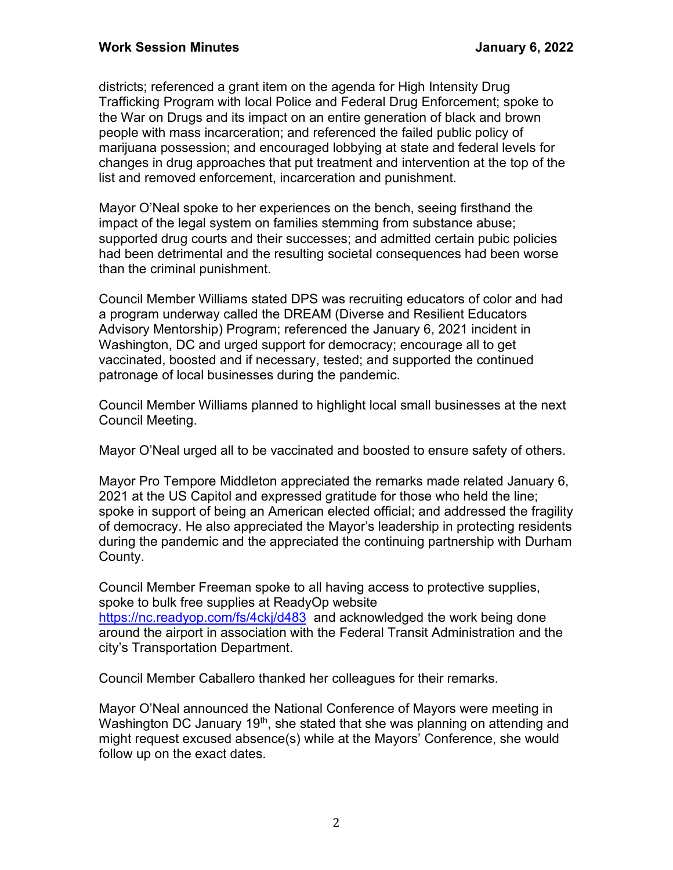districts; referenced a grant item on the agenda for High Intensity Drug Trafficking Program with local Police and Federal Drug Enforcement; spoke to the War on Drugs and its impact on an entire generation of black and brown people with mass incarceration; and referenced the failed public policy of marijuana possession; and encouraged lobbying at state and federal levels for changes in drug approaches that put treatment and intervention at the top of the list and removed enforcement, incarceration and punishment.

Mayor O'Neal spoke to her experiences on the bench, seeing firsthand the impact of the legal system on families stemming from substance abuse; supported drug courts and their successes; and admitted certain pubic policies had been detrimental and the resulting societal consequences had been worse than the criminal punishment.

Council Member Williams stated DPS was recruiting educators of color and had a program underway called the DREAM (Diverse and Resilient Educators Advisory Mentorship) Program; referenced the January 6, 2021 incident in Washington, DC and urged support for democracy; encourage all to get vaccinated, boosted and if necessary, tested; and supported the continued patronage of local businesses during the pandemic.

Council Member Williams planned to highlight local small businesses at the next Council Meeting.

Mayor O'Neal urged all to be vaccinated and boosted to ensure safety of others.

Mayor Pro Tempore Middleton appreciated the remarks made related January 6, 2021 at the US Capitol and expressed gratitude for those who held the line; spoke in support of being an American elected official; and addressed the fragility of democracy. He also appreciated the Mayor's leadership in protecting residents during the pandemic and the appreciated the continuing partnership with Durham County.

Council Member Freeman spoke to all having access to protective supplies, spoke to bulk free supplies at ReadyOp website <https://nc.readyop.com/fs/4ckj/d483> and acknowledged the work being done around the airport in association with the Federal Transit Administration and the city's Transportation Department.

Council Member Caballero thanked her colleagues for their remarks.

Mayor O'Neal announced the National Conference of Mayors were meeting in Washington DC January 19<sup>th</sup>, she stated that she was planning on attending and might request excused absence(s) while at the Mayors' Conference, she would follow up on the exact dates.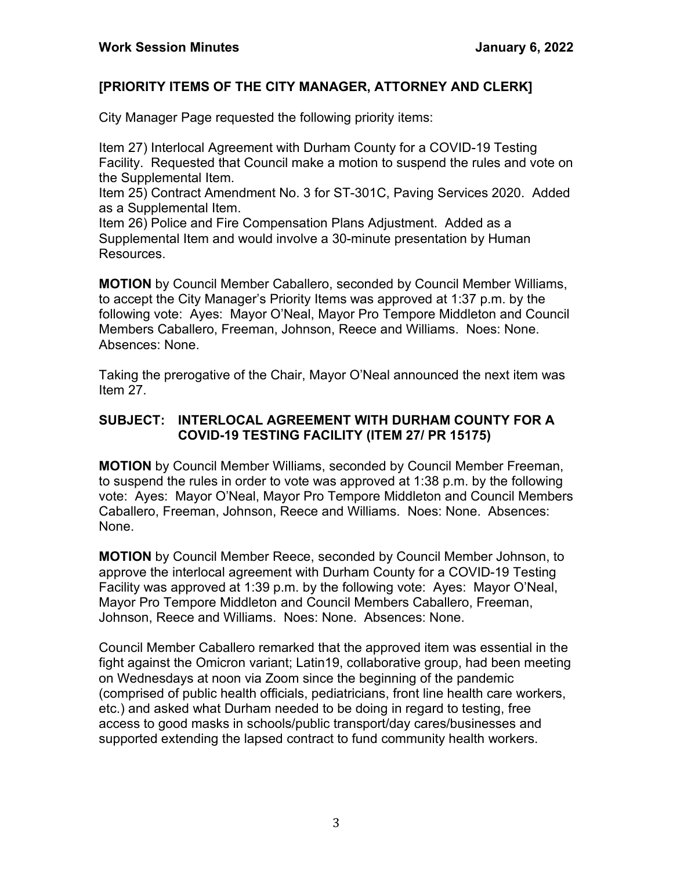## **[PRIORITY ITEMS OF THE CITY MANAGER, ATTORNEY AND CLERK]**

City Manager Page requested the following priority items:

Item 27) Interlocal Agreement with Durham County for a COVID-19 Testing Facility. Requested that Council make a motion to suspend the rules and vote on the Supplemental Item.

Item 25) Contract Amendment No. 3 for ST-301C, Paving Services 2020. Added as a Supplemental Item.

Item 26) Police and Fire Compensation Plans Adjustment. Added as a Supplemental Item and would involve a 30-minute presentation by Human Resources.

**MOTION** by Council Member Caballero, seconded by Council Member Williams, to accept the City Manager's Priority Items was approved at 1:37 p.m. by the following vote: Ayes: Mayor O'Neal, Mayor Pro Tempore Middleton and Council Members Caballero, Freeman, Johnson, Reece and Williams. Noes: None. Absences: None.

Taking the prerogative of the Chair, Mayor O'Neal announced the next item was Item 27.

### **SUBJECT: INTERLOCAL AGREEMENT WITH DURHAM COUNTY FOR A COVID-19 TESTING FACILITY (ITEM 27/ PR 15175)**

**MOTION** by Council Member Williams, seconded by Council Member Freeman, to suspend the rules in order to vote was approved at 1:38 p.m. by the following vote: Ayes: Mayor O'Neal, Mayor Pro Tempore Middleton and Council Members Caballero, Freeman, Johnson, Reece and Williams. Noes: None. Absences: None.

**MOTION** by Council Member Reece, seconded by Council Member Johnson, to approve the interlocal agreement with Durham County for a COVID-19 Testing Facility was approved at 1:39 p.m. by the following vote: Ayes: Mayor O'Neal, Mayor Pro Tempore Middleton and Council Members Caballero, Freeman, Johnson, Reece and Williams. Noes: None. Absences: None.

Council Member Caballero remarked that the approved item was essential in the fight against the Omicron variant; Latin19, collaborative group, had been meeting on Wednesdays at noon via Zoom since the beginning of the pandemic (comprised of public health officials, pediatricians, front line health care workers, etc.) and asked what Durham needed to be doing in regard to testing, free access to good masks in schools/public transport/day cares/businesses and supported extending the lapsed contract to fund community health workers.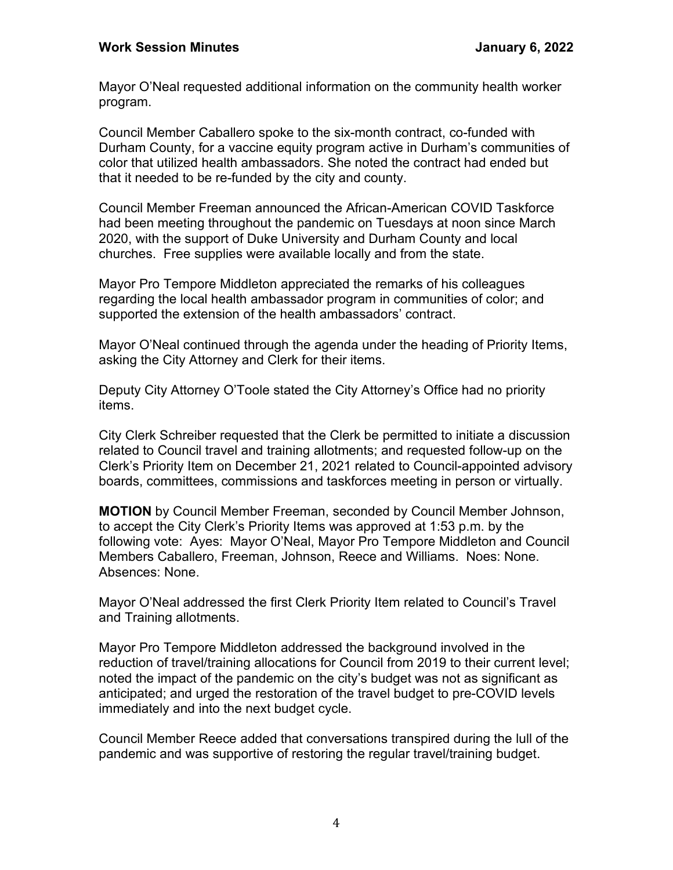Mayor O'Neal requested additional information on the community health worker program.

Council Member Caballero spoke to the six-month contract, co-funded with Durham County, for a vaccine equity program active in Durham's communities of color that utilized health ambassadors. She noted the contract had ended but that it needed to be re-funded by the city and county.

Council Member Freeman announced the African-American COVID Taskforce had been meeting throughout the pandemic on Tuesdays at noon since March 2020, with the support of Duke University and Durham County and local churches. Free supplies were available locally and from the state.

Mayor Pro Tempore Middleton appreciated the remarks of his colleagues regarding the local health ambassador program in communities of color; and supported the extension of the health ambassadors' contract.

Mayor O'Neal continued through the agenda under the heading of Priority Items, asking the City Attorney and Clerk for their items.

Deputy City Attorney O'Toole stated the City Attorney's Office had no priority items.

City Clerk Schreiber requested that the Clerk be permitted to initiate a discussion related to Council travel and training allotments; and requested follow-up on the Clerk's Priority Item on December 21, 2021 related to Council-appointed advisory boards, committees, commissions and taskforces meeting in person or virtually.

**MOTION** by Council Member Freeman, seconded by Council Member Johnson, to accept the City Clerk's Priority Items was approved at 1:53 p.m. by the following vote: Ayes: Mayor O'Neal, Mayor Pro Tempore Middleton and Council Members Caballero, Freeman, Johnson, Reece and Williams. Noes: None. Absences: None.

Mayor O'Neal addressed the first Clerk Priority Item related to Council's Travel and Training allotments.

Mayor Pro Tempore Middleton addressed the background involved in the reduction of travel/training allocations for Council from 2019 to their current level; noted the impact of the pandemic on the city's budget was not as significant as anticipated; and urged the restoration of the travel budget to pre-COVID levels immediately and into the next budget cycle.

Council Member Reece added that conversations transpired during the lull of the pandemic and was supportive of restoring the regular travel/training budget.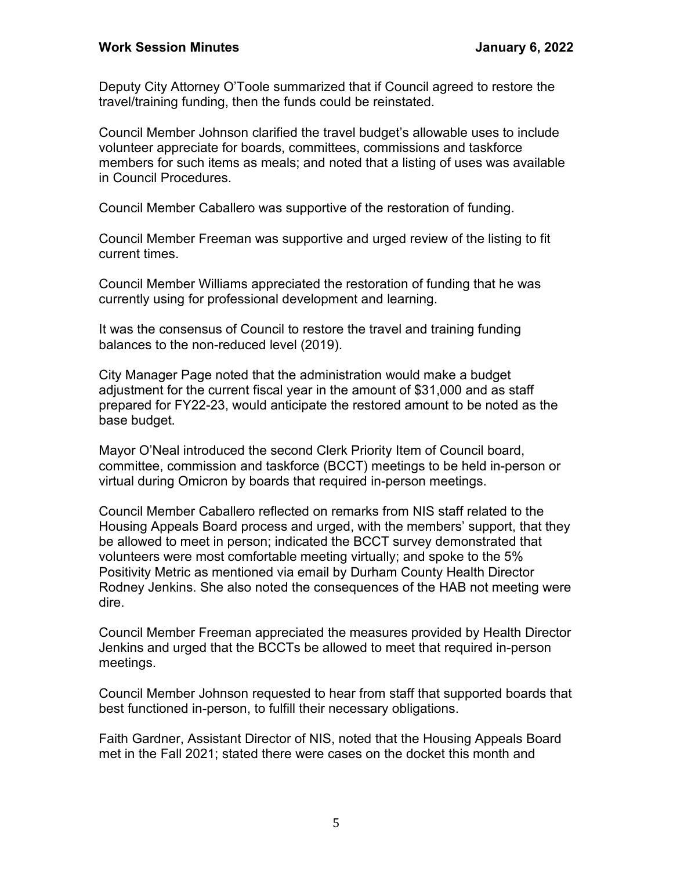Deputy City Attorney O'Toole summarized that if Council agreed to restore the travel/training funding, then the funds could be reinstated.

Council Member Johnson clarified the travel budget's allowable uses to include volunteer appreciate for boards, committees, commissions and taskforce members for such items as meals; and noted that a listing of uses was available in Council Procedures.

Council Member Caballero was supportive of the restoration of funding.

Council Member Freeman was supportive and urged review of the listing to fit current times.

Council Member Williams appreciated the restoration of funding that he was currently using for professional development and learning.

It was the consensus of Council to restore the travel and training funding balances to the non-reduced level (2019).

City Manager Page noted that the administration would make a budget adjustment for the current fiscal year in the amount of \$31,000 and as staff prepared for FY22-23, would anticipate the restored amount to be noted as the base budget.

Mayor O'Neal introduced the second Clerk Priority Item of Council board, committee, commission and taskforce (BCCT) meetings to be held in-person or virtual during Omicron by boards that required in-person meetings.

Council Member Caballero reflected on remarks from NIS staff related to the Housing Appeals Board process and urged, with the members' support, that they be allowed to meet in person; indicated the BCCT survey demonstrated that volunteers were most comfortable meeting virtually; and spoke to the 5% Positivity Metric as mentioned via email by Durham County Health Director Rodney Jenkins. She also noted the consequences of the HAB not meeting were dire.

Council Member Freeman appreciated the measures provided by Health Director Jenkins and urged that the BCCTs be allowed to meet that required in-person meetings.

Council Member Johnson requested to hear from staff that supported boards that best functioned in-person, to fulfill their necessary obligations.

Faith Gardner, Assistant Director of NIS, noted that the Housing Appeals Board met in the Fall 2021; stated there were cases on the docket this month and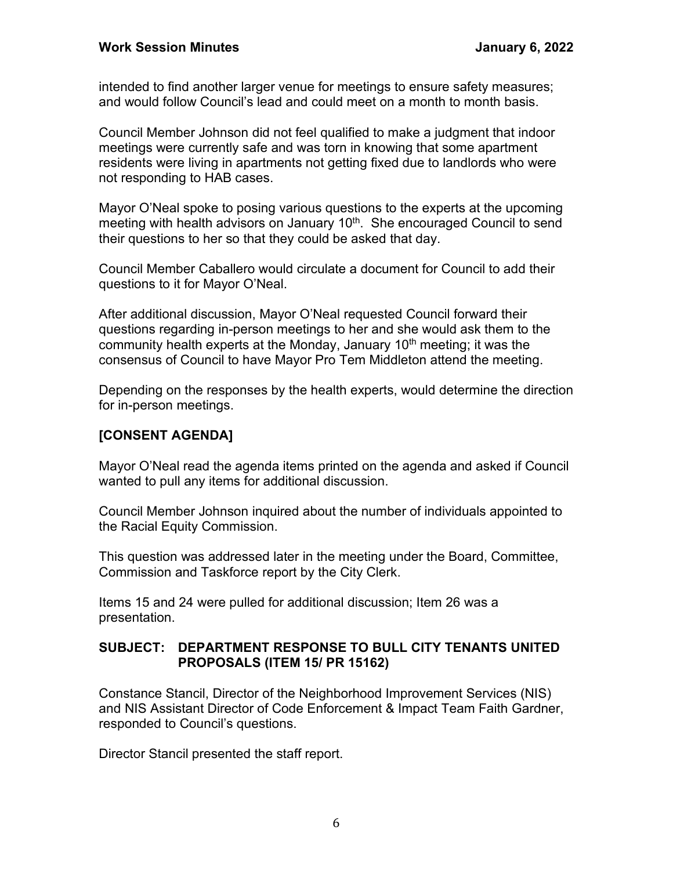intended to find another larger venue for meetings to ensure safety measures; and would follow Council's lead and could meet on a month to month basis.

Council Member Johnson did not feel qualified to make a judgment that indoor meetings were currently safe and was torn in knowing that some apartment residents were living in apartments not getting fixed due to landlords who were not responding to HAB cases.

Mayor O'Neal spoke to posing various questions to the experts at the upcoming meeting with health advisors on January 10<sup>th</sup>. She encouraged Council to send their questions to her so that they could be asked that day.

Council Member Caballero would circulate a document for Council to add their questions to it for Mayor O'Neal.

After additional discussion, Mayor O'Neal requested Council forward their questions regarding in-person meetings to her and she would ask them to the community health experts at the Monday, January 10<sup>th</sup> meeting; it was the consensus of Council to have Mayor Pro Tem Middleton attend the meeting.

Depending on the responses by the health experts, would determine the direction for in-person meetings.

## **[CONSENT AGENDA]**

Mayor O'Neal read the agenda items printed on the agenda and asked if Council wanted to pull any items for additional discussion.

Council Member Johnson inquired about the number of individuals appointed to the Racial Equity Commission.

This question was addressed later in the meeting under the Board, Committee, Commission and Taskforce report by the City Clerk.

Items 15 and 24 were pulled for additional discussion; Item 26 was a presentation.

#### **SUBJECT: DEPARTMENT RESPONSE TO BULL CITY TENANTS UNITED PROPOSALS (ITEM 15/ PR 15162)**

Constance Stancil, Director of the Neighborhood Improvement Services (NIS) and NIS Assistant Director of Code Enforcement & Impact Team Faith Gardner, responded to Council's questions.

Director Stancil presented the staff report.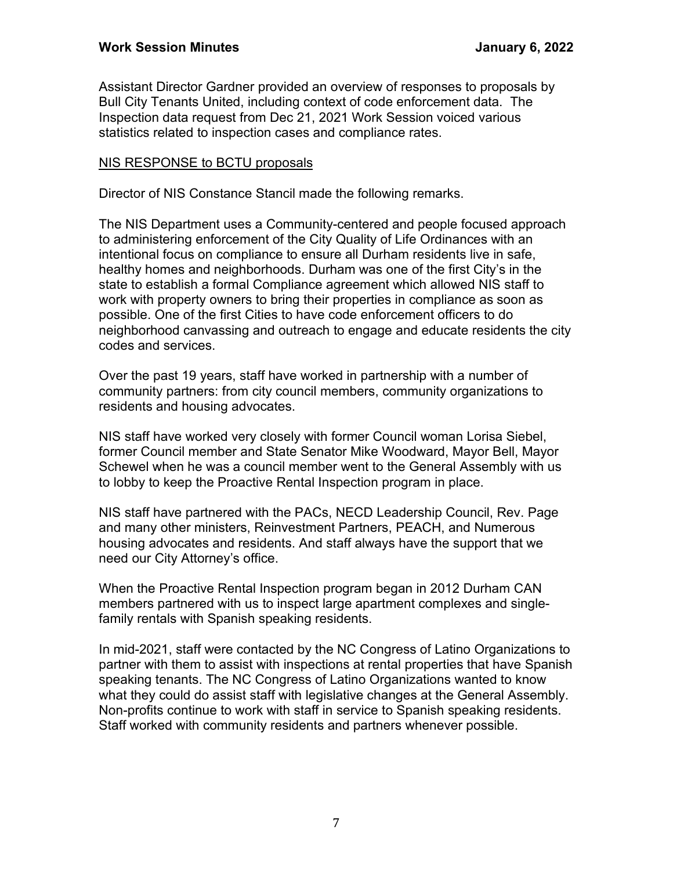Assistant Director Gardner provided an overview of responses to proposals by Bull City Tenants United, including context of code enforcement data. The Inspection data request from Dec 21, 2021 Work Session voiced various statistics related to inspection cases and compliance rates.

#### NIS RESPONSE to BCTU proposals

Director of NIS Constance Stancil made the following remarks.

The NIS Department uses a Community-centered and people focused approach to administering enforcement of the City Quality of Life Ordinances with an intentional focus on compliance to ensure all Durham residents live in safe, healthy homes and neighborhoods. Durham was one of the first City's in the state to establish a formal Compliance agreement which allowed NIS staff to work with property owners to bring their properties in compliance as soon as possible. One of the first Cities to have code enforcement officers to do neighborhood canvassing and outreach to engage and educate residents the city codes and services.

Over the past 19 years, staff have worked in partnership with a number of community partners: from city council members, community organizations to residents and housing advocates.

NIS staff have worked very closely with former Council woman Lorisa Siebel, former Council member and State Senator Mike Woodward, Mayor Bell, Mayor Schewel when he was a council member went to the General Assembly with us to lobby to keep the Proactive Rental Inspection program in place.

NIS staff have partnered with the PACs, NECD Leadership Council, Rev. Page and many other ministers, Reinvestment Partners, PEACH, and Numerous housing advocates and residents. And staff always have the support that we need our City Attorney's office.

When the Proactive Rental Inspection program began in 2012 Durham CAN members partnered with us to inspect large apartment complexes and singlefamily rentals with Spanish speaking residents.

In mid-2021, staff were contacted by the NC Congress of Latino Organizations to partner with them to assist with inspections at rental properties that have Spanish speaking tenants. The NC Congress of Latino Organizations wanted to know what they could do assist staff with legislative changes at the General Assembly. Non-profits continue to work with staff in service to Spanish speaking residents. Staff worked with community residents and partners whenever possible.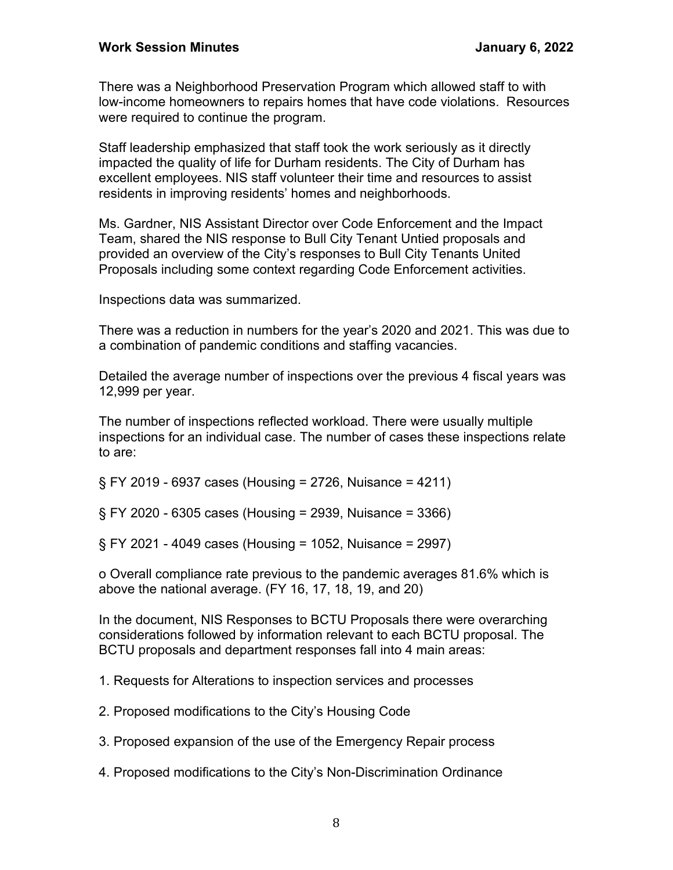There was a Neighborhood Preservation Program which allowed staff to with low-income homeowners to repairs homes that have code violations. Resources were required to continue the program.

Staff leadership emphasized that staff took the work seriously as it directly impacted the quality of life for Durham residents. The City of Durham has excellent employees. NIS staff volunteer their time and resources to assist residents in improving residents' homes and neighborhoods.

Ms. Gardner, NIS Assistant Director over Code Enforcement and the Impact Team, shared the NIS response to Bull City Tenant Untied proposals and provided an overview of the City's responses to Bull City Tenants United Proposals including some context regarding Code Enforcement activities.

Inspections data was summarized.

There was a reduction in numbers for the year's 2020 and 2021. This was due to a combination of pandemic conditions and staffing vacancies.

Detailed the average number of inspections over the previous 4 fiscal years was 12,999 per year.

The number of inspections reflected workload. There were usually multiple inspections for an individual case. The number of cases these inspections relate to are:

§ FY 2019 - 6937 cases (Housing = 2726, Nuisance = 4211)

§ FY 2020 - 6305 cases (Housing = 2939, Nuisance = 3366)

§ FY 2021 - 4049 cases (Housing = 1052, Nuisance = 2997)

o Overall compliance rate previous to the pandemic averages 81.6% which is above the national average. (FY 16, 17, 18, 19, and 20)

In the document, NIS Responses to BCTU Proposals there were overarching considerations followed by information relevant to each BCTU proposal. The BCTU proposals and department responses fall into 4 main areas:

1. Requests for Alterations to inspection services and processes

2. Proposed modifications to the City's Housing Code

3. Proposed expansion of the use of the Emergency Repair process

4. Proposed modifications to the City's Non-Discrimination Ordinance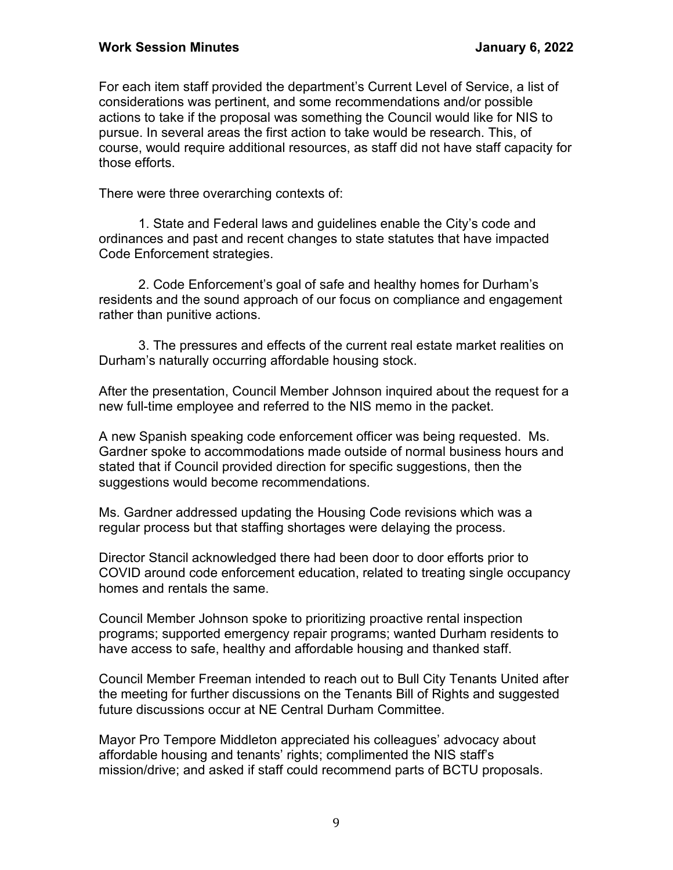For each item staff provided the department's Current Level of Service, a list of considerations was pertinent, and some recommendations and/or possible actions to take if the proposal was something the Council would like for NIS to pursue. In several areas the first action to take would be research. This, of course, would require additional resources, as staff did not have staff capacity for those efforts.

There were three overarching contexts of:

1. State and Federal laws and guidelines enable the City's code and ordinances and past and recent changes to state statutes that have impacted Code Enforcement strategies.

2. Code Enforcement's goal of safe and healthy homes for Durham's residents and the sound approach of our focus on compliance and engagement rather than punitive actions.

3. The pressures and effects of the current real estate market realities on Durham's naturally occurring affordable housing stock.

After the presentation, Council Member Johnson inquired about the request for a new full-time employee and referred to the NIS memo in the packet.

A new Spanish speaking code enforcement officer was being requested. Ms. Gardner spoke to accommodations made outside of normal business hours and stated that if Council provided direction for specific suggestions, then the suggestions would become recommendations.

Ms. Gardner addressed updating the Housing Code revisions which was a regular process but that staffing shortages were delaying the process.

Director Stancil acknowledged there had been door to door efforts prior to COVID around code enforcement education, related to treating single occupancy homes and rentals the same.

Council Member Johnson spoke to prioritizing proactive rental inspection programs; supported emergency repair programs; wanted Durham residents to have access to safe, healthy and affordable housing and thanked staff.

Council Member Freeman intended to reach out to Bull City Tenants United after the meeting for further discussions on the Tenants Bill of Rights and suggested future discussions occur at NE Central Durham Committee.

Mayor Pro Tempore Middleton appreciated his colleagues' advocacy about affordable housing and tenants' rights; complimented the NIS staff's mission/drive; and asked if staff could recommend parts of BCTU proposals.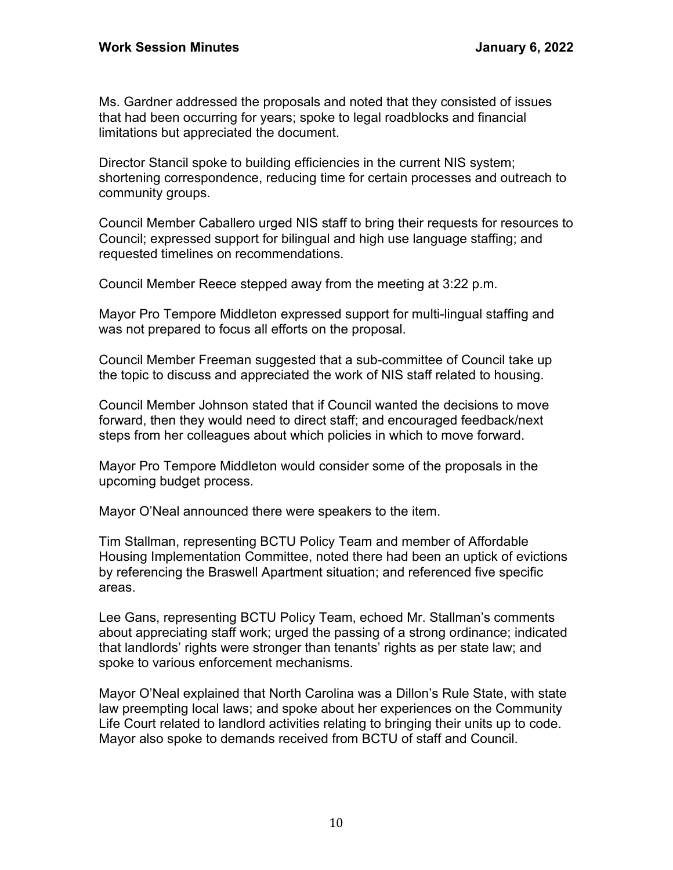Ms. Gardner addressed the proposals and noted that they consisted of issues that had been occurring for years; spoke to legal roadblocks and financial limitations but appreciated the document.

Director Stancil spoke to building efficiencies in the current NIS system; shortening correspondence, reducing time for certain processes and outreach to community groups.

Council Member Caballero urged NIS staff to bring their requests for resources to Council; expressed support for bilingual and high use language staffing; and requested timelines on recommendations.

Council Member Reece stepped away from the meeting at 3:22 p.m.

Mayor Pro Tempore Middleton expressed support for multi-lingual staffing and was not prepared to focus all efforts on the proposal.

Council Member Freeman suggested that a sub-committee of Council take up the topic to discuss and appreciated the work of NIS staff related to housing.

Council Member Johnson stated that if Council wanted the decisions to move forward, then they would need to direct staff; and encouraged feedback/next steps from her colleagues about which policies in which to move forward.

Mayor Pro Tempore Middleton would consider some of the proposals in the upcoming budget process.

Mayor O'Neal announced there were speakers to the item.

Tim Stallman, representing BCTU Policy Team and member of Affordable Housing Implementation Committee, noted there had been an uptick of evictions by referencing the Braswell Apartment situation; and referenced five specific areas.

Lee Gans, representing BCTU Policy Team, echoed Mr. Stallman's comments about appreciating staff work; urged the passing of a strong ordinance; indicated that landlords' rights were stronger than tenants' rights as per state law; and spoke to various enforcement mechanisms.

Mayor O'Neal explained that North Carolina was a Dillon's Rule State, with state law preempting local laws; and spoke about her experiences on the Community Life Court related to landlord activities relating to bringing their units up to code. Mayor also spoke to demands received from BCTU of staff and Council.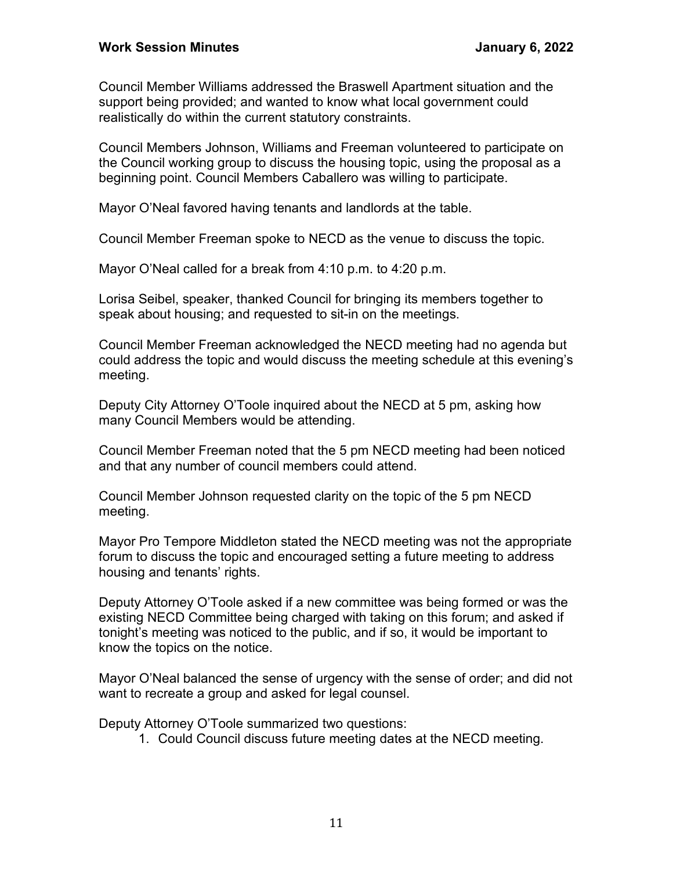Council Member Williams addressed the Braswell Apartment situation and the support being provided; and wanted to know what local government could realistically do within the current statutory constraints.

Council Members Johnson, Williams and Freeman volunteered to participate on the Council working group to discuss the housing topic, using the proposal as a beginning point. Council Members Caballero was willing to participate.

Mayor O'Neal favored having tenants and landlords at the table.

Council Member Freeman spoke to NECD as the venue to discuss the topic.

Mayor O'Neal called for a break from 4:10 p.m. to 4:20 p.m.

Lorisa Seibel, speaker, thanked Council for bringing its members together to speak about housing; and requested to sit-in on the meetings.

Council Member Freeman acknowledged the NECD meeting had no agenda but could address the topic and would discuss the meeting schedule at this evening's meeting.

Deputy City Attorney O'Toole inquired about the NECD at 5 pm, asking how many Council Members would be attending.

Council Member Freeman noted that the 5 pm NECD meeting had been noticed and that any number of council members could attend.

Council Member Johnson requested clarity on the topic of the 5 pm NECD meeting.

Mayor Pro Tempore Middleton stated the NECD meeting was not the appropriate forum to discuss the topic and encouraged setting a future meeting to address housing and tenants' rights.

Deputy Attorney O'Toole asked if a new committee was being formed or was the existing NECD Committee being charged with taking on this forum; and asked if tonight's meeting was noticed to the public, and if so, it would be important to know the topics on the notice.

Mayor O'Neal balanced the sense of urgency with the sense of order; and did not want to recreate a group and asked for legal counsel.

Deputy Attorney O'Toole summarized two questions:

1. Could Council discuss future meeting dates at the NECD meeting.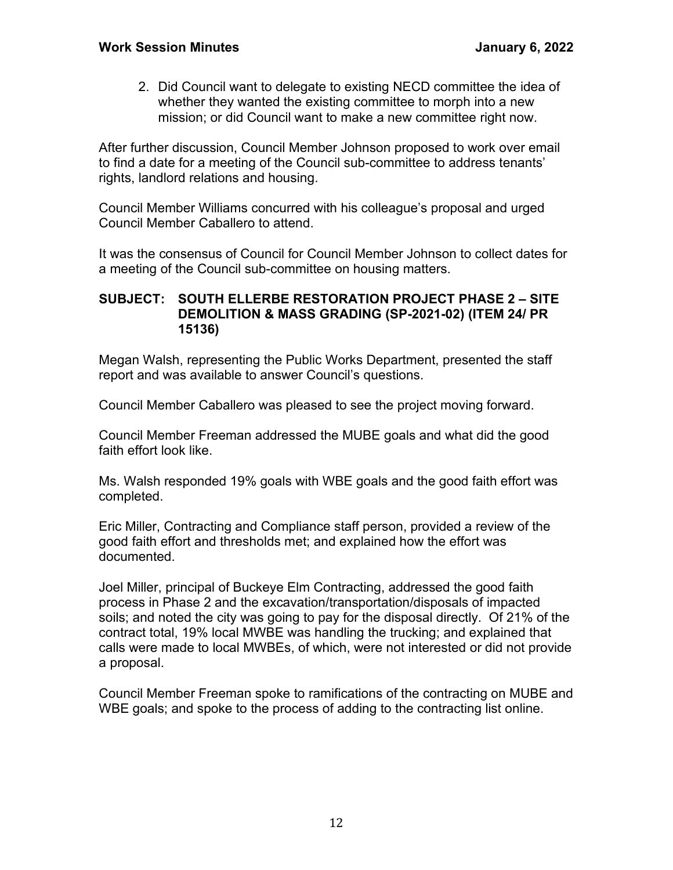2. Did Council want to delegate to existing NECD committee the idea of whether they wanted the existing committee to morph into a new mission; or did Council want to make a new committee right now.

After further discussion, Council Member Johnson proposed to work over email to find a date for a meeting of the Council sub-committee to address tenants' rights, landlord relations and housing.

Council Member Williams concurred with his colleague's proposal and urged Council Member Caballero to attend.

It was the consensus of Council for Council Member Johnson to collect dates for a meeting of the Council sub-committee on housing matters.

#### **SUBJECT: SOUTH ELLERBE RESTORATION PROJECT PHASE 2 – SITE DEMOLITION & MASS GRADING (SP-2021-02) (ITEM 24/ PR 15136)**

Megan Walsh, representing the Public Works Department, presented the staff report and was available to answer Council's questions.

Council Member Caballero was pleased to see the project moving forward.

Council Member Freeman addressed the MUBE goals and what did the good faith effort look like.

Ms. Walsh responded 19% goals with WBE goals and the good faith effort was completed.

Eric Miller, Contracting and Compliance staff person, provided a review of the good faith effort and thresholds met; and explained how the effort was documented.

Joel Miller, principal of Buckeye Elm Contracting, addressed the good faith process in Phase 2 and the excavation/transportation/disposals of impacted soils; and noted the city was going to pay for the disposal directly. Of 21% of the contract total, 19% local MWBE was handling the trucking; and explained that calls were made to local MWBEs, of which, were not interested or did not provide a proposal.

Council Member Freeman spoke to ramifications of the contracting on MUBE and WBE goals; and spoke to the process of adding to the contracting list online.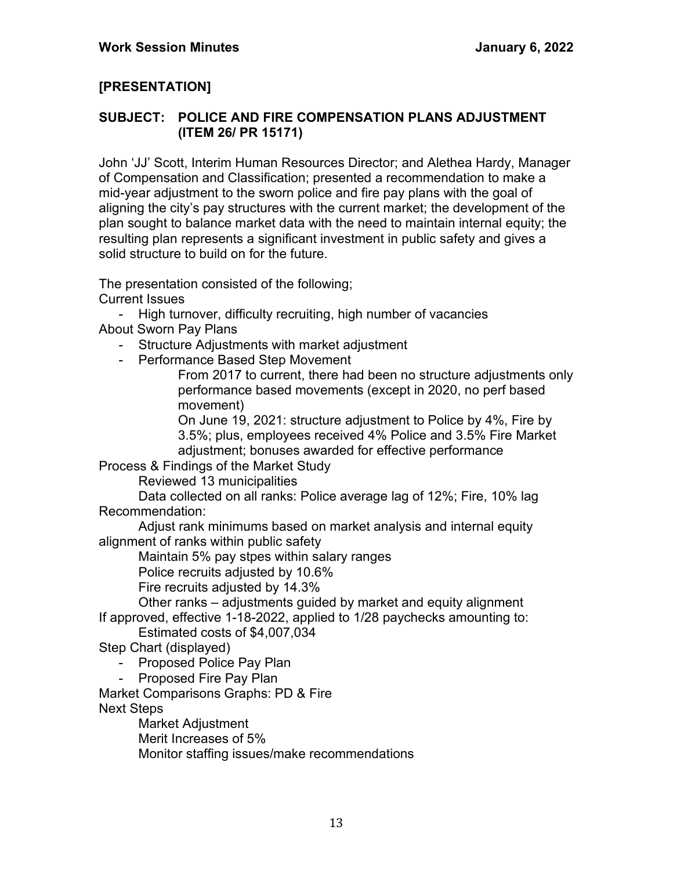## **[PRESENTATION]**

#### **SUBJECT: POLICE AND FIRE COMPENSATION PLANS ADJUSTMENT (ITEM 26/ PR 15171)**

John 'JJ' Scott, Interim Human Resources Director; and Alethea Hardy, Manager of Compensation and Classification; presented a recommendation to make a mid-year adjustment to the sworn police and fire pay plans with the goal of aligning the city's pay structures with the current market; the development of the plan sought to balance market data with the need to maintain internal equity; the resulting plan represents a significant investment in public safety and gives a solid structure to build on for the future.

The presentation consisted of the following;

Current Issues

- High turnover, difficulty recruiting, high number of vacancies About Sworn Pay Plans

- Structure Adjustments with market adjustment
- Performance Based Step Movement

From 2017 to current, there had been no structure adjustments only performance based movements (except in 2020, no perf based movement)

On June 19, 2021: structure adjustment to Police by 4%, Fire by 3.5%; plus, employees received 4% Police and 3.5% Fire Market adjustment; bonuses awarded for effective performance

Process & Findings of the Market Study

Reviewed 13 municipalities

Data collected on all ranks: Police average lag of 12%; Fire, 10% lag Recommendation:

Adjust rank minimums based on market analysis and internal equity alignment of ranks within public safety

Maintain 5% pay stpes within salary ranges

Police recruits adjusted by 10.6%

Fire recruits adjusted by 14.3%

Other ranks – adjustments guided by market and equity alignment If approved, effective 1-18-2022, applied to 1/28 paychecks amounting to:

Estimated costs of \$4,007,034

Step Chart (displayed)

- Proposed Police Pay Plan<br>- Proposed Fire Pav Plan

Proposed Fire Pay Plan

Market Comparisons Graphs: PD & Fire Next Steps

Market Adjustment Merit Increases of 5% Monitor staffing issues/make recommendations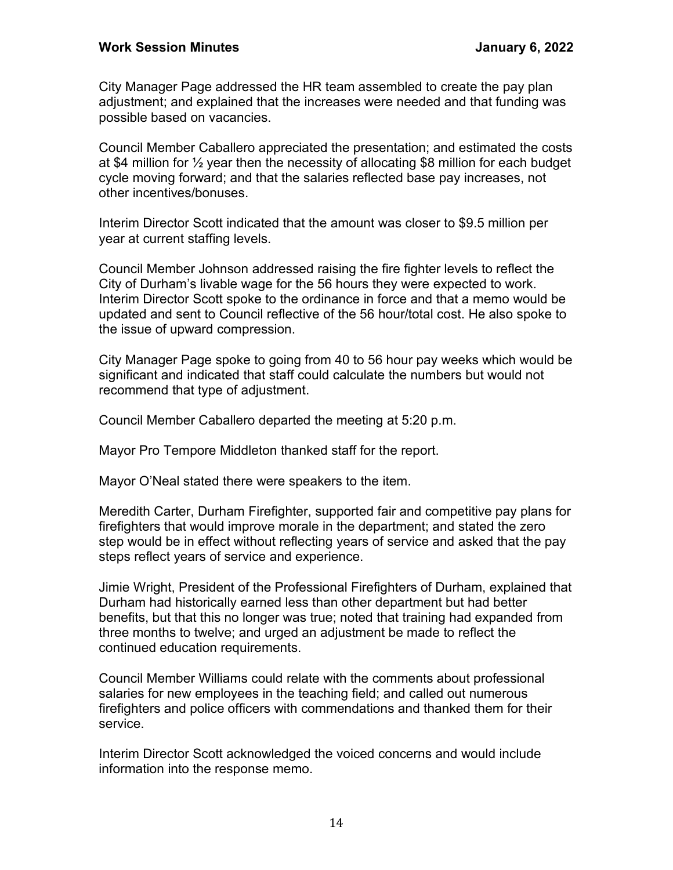City Manager Page addressed the HR team assembled to create the pay plan adjustment; and explained that the increases were needed and that funding was possible based on vacancies.

Council Member Caballero appreciated the presentation; and estimated the costs at \$4 million for  $\frac{1}{2}$  year then the necessity of allocating \$8 million for each budget cycle moving forward; and that the salaries reflected base pay increases, not other incentives/bonuses.

Interim Director Scott indicated that the amount was closer to \$9.5 million per year at current staffing levels.

Council Member Johnson addressed raising the fire fighter levels to reflect the City of Durham's livable wage for the 56 hours they were expected to work. Interim Director Scott spoke to the ordinance in force and that a memo would be updated and sent to Council reflective of the 56 hour/total cost. He also spoke to the issue of upward compression.

City Manager Page spoke to going from 40 to 56 hour pay weeks which would be significant and indicated that staff could calculate the numbers but would not recommend that type of adjustment.

Council Member Caballero departed the meeting at 5:20 p.m.

Mayor Pro Tempore Middleton thanked staff for the report.

Mayor O'Neal stated there were speakers to the item.

Meredith Carter, Durham Firefighter, supported fair and competitive pay plans for firefighters that would improve morale in the department; and stated the zero step would be in effect without reflecting years of service and asked that the pay steps reflect years of service and experience.

Jimie Wright, President of the Professional Firefighters of Durham, explained that Durham had historically earned less than other department but had better benefits, but that this no longer was true; noted that training had expanded from three months to twelve; and urged an adjustment be made to reflect the continued education requirements.

Council Member Williams could relate with the comments about professional salaries for new employees in the teaching field; and called out numerous firefighters and police officers with commendations and thanked them for their service.

Interim Director Scott acknowledged the voiced concerns and would include information into the response memo.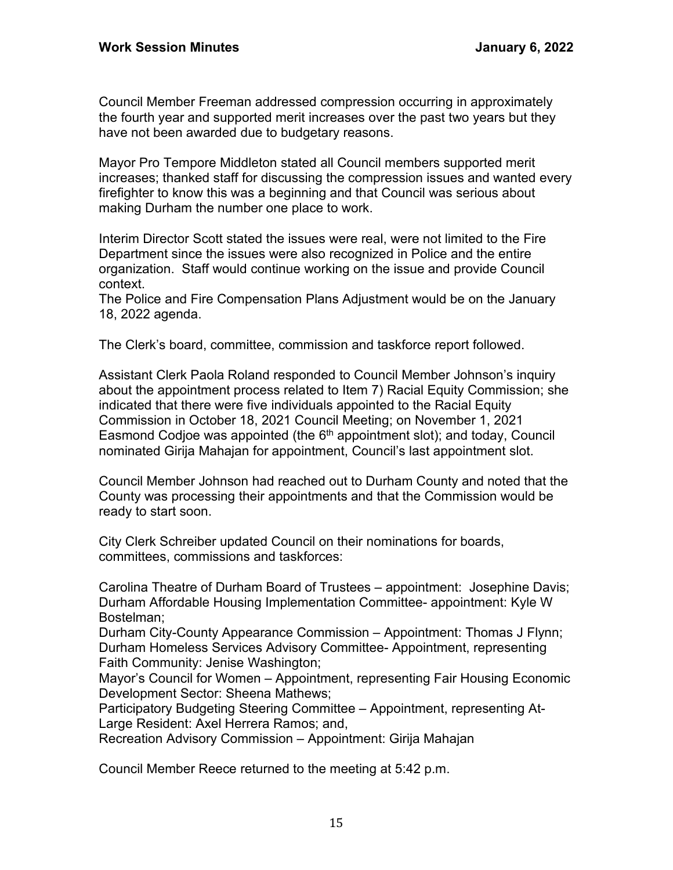Council Member Freeman addressed compression occurring in approximately the fourth year and supported merit increases over the past two years but they have not been awarded due to budgetary reasons.

Mayor Pro Tempore Middleton stated all Council members supported merit increases; thanked staff for discussing the compression issues and wanted every firefighter to know this was a beginning and that Council was serious about making Durham the number one place to work.

Interim Director Scott stated the issues were real, were not limited to the Fire Department since the issues were also recognized in Police and the entire organization. Staff would continue working on the issue and provide Council context.

The Police and Fire Compensation Plans Adjustment would be on the January 18, 2022 agenda.

The Clerk's board, committee, commission and taskforce report followed.

Assistant Clerk Paola Roland responded to Council Member Johnson's inquiry about the appointment process related to Item 7) Racial Equity Commission; she indicated that there were five individuals appointed to the Racial Equity Commission in October 18, 2021 Council Meeting; on November 1, 2021 Easmond Codjoe was appointed (the  $6<sup>th</sup>$  appointment slot); and today, Council nominated Girija Mahajan for appointment, Council's last appointment slot.

Council Member Johnson had reached out to Durham County and noted that the County was processing their appointments and that the Commission would be ready to start soon.

City Clerk Schreiber updated Council on their nominations for boards, committees, commissions and taskforces:

Carolina Theatre of Durham Board of Trustees – appointment: Josephine Davis; Durham Affordable Housing Implementation Committee- appointment: Kyle W Bostelman;

Durham City-County Appearance Commission – Appointment: Thomas J Flynn; Durham Homeless Services Advisory Committee- Appointment, representing Faith Community: Jenise Washington;

Mayor's Council for Women – Appointment, representing Fair Housing Economic Development Sector: Sheena Mathews;

Participatory Budgeting Steering Committee – Appointment, representing At-Large Resident: Axel Herrera Ramos; and,

Recreation Advisory Commission – Appointment: Girija Mahajan

Council Member Reece returned to the meeting at 5:42 p.m.